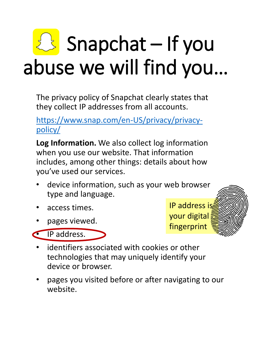## $\mathbb{Z}$  Snapchat – If you abuse we will find you…

The privacy policy of Snapchat clearly states that they collect IP addresses from all accounts.

[https://www.snap.com/en-US/privacy/privacy](https://www.snap.com/en-US/privacy/privacy-policy/)policy/

**Log Information.** We also collect log information when you use our website. That information includes, among other things: details about how you've used our services.

- device information, such as your web browser type and language.
- access times.
- pages viewed.





- IP address. • identifiers associated with cookies or other
	- technologies that may uniquely identify your device or browser.
- pages you visited before or after navigating to our website.